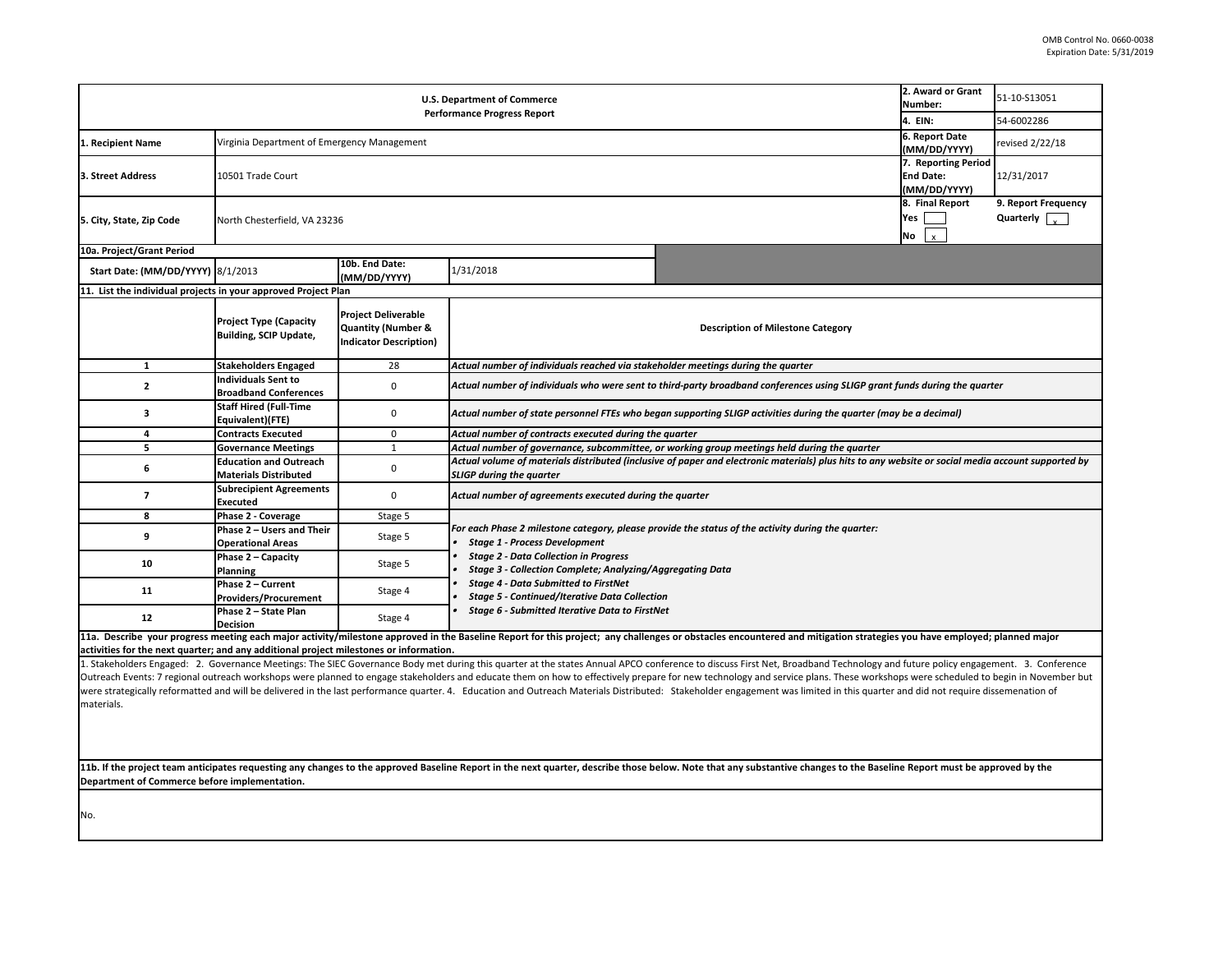activities for the next quarter; and any additional project milestones or information.<br>1. Stakeholders Engaged: 2. Governance Meetings: The SIEC Governance Body met during this quarter at the states Annual APCO conference Outreach Events: 7 regional outreach workshops were planned to engage stakeholders and educate them on how to effectively prepare for new technology and service were strategically reformatted and will be delivered in the last performance quarter. 4. Education and Outreach Materials Distributed: Stakeholder engagement was materials.

**11b. If the project team anticipates requesting any changes to the approved Baseline Report in the next quarter, describe those below. Note that any substantive** Department of Commerce before implementation.

|                                                                                                     | 2. Award or Grant           | 51-10-S13051         |  |  |  |  |  |
|-----------------------------------------------------------------------------------------------------|-----------------------------|----------------------|--|--|--|--|--|
|                                                                                                     | Number:<br>4. EIN:          | 54-6002286           |  |  |  |  |  |
|                                                                                                     | 6. Report Date              |                      |  |  |  |  |  |
|                                                                                                     | (MM/DD/YYYY)                | revised 2/22/18      |  |  |  |  |  |
|                                                                                                     | 7. Reporting Period         |                      |  |  |  |  |  |
|                                                                                                     | <b>End Date:</b>            | 12/31/2017           |  |  |  |  |  |
|                                                                                                     | (MM/DD/YYYY)                |                      |  |  |  |  |  |
|                                                                                                     | 8. Final Report             | 9. Report Frequency  |  |  |  |  |  |
|                                                                                                     | Yes                         | Quarterly $\int_{v}$ |  |  |  |  |  |
|                                                                                                     | <b>No</b><br>$\pmb{\times}$ |                      |  |  |  |  |  |
|                                                                                                     |                             |                      |  |  |  |  |  |
|                                                                                                     |                             |                      |  |  |  |  |  |
| <b>Description of Milestone Category</b>                                                            |                             |                      |  |  |  |  |  |
| cholder meetings during the quarter                                                                 |                             |                      |  |  |  |  |  |
| third-party broadband conferences using SLIGP grant funds during the quarter                        |                             |                      |  |  |  |  |  |
| gan supporting SLIGP activities during the quarter (may be a decimal)                               |                             |                      |  |  |  |  |  |
| e quarter                                                                                           |                             |                      |  |  |  |  |  |
| or working group meetings held during the quarter                                                   |                             |                      |  |  |  |  |  |
| ve of paper and electronic materials) plus hits to any website or social media account supported by |                             |                      |  |  |  |  |  |
| the quarter                                                                                         |                             |                      |  |  |  |  |  |
| rovide the status of the activity during the quarter:                                               |                             |                      |  |  |  |  |  |
| Aggregating Data                                                                                    |                             |                      |  |  |  |  |  |
| ion                                                                                                 |                             |                      |  |  |  |  |  |
| Net                                                                                                 |                             |                      |  |  |  |  |  |
| ges or obstacles encountered and mitigation strategies you have employed; planned major             |                             |                      |  |  |  |  |  |
|                                                                                                     |                             |                      |  |  |  |  |  |
| inference to discuss First Net, Broadband Technology and future policy engagement. 3. Conference    |                             |                      |  |  |  |  |  |
| are for new technology and service plans. These workshops were scheduled to begin in November but   |                             |                      |  |  |  |  |  |
| d: Stakeholder engagement was limited in this quarter and did not require dissemenation of          |                             |                      |  |  |  |  |  |
|                                                                                                     |                             |                      |  |  |  |  |  |
|                                                                                                     |                             |                      |  |  |  |  |  |
|                                                                                                     |                             |                      |  |  |  |  |  |
|                                                                                                     |                             |                      |  |  |  |  |  |
| elow. Note that any substantive changes to the Baseline Report must be approved by the              |                             |                      |  |  |  |  |  |
|                                                                                                     |                             |                      |  |  |  |  |  |

| <b>U.S. Department of Commerce</b><br><b>Performance Progress Report</b>                                                                                                                                               |                                                                |                                                                                              |                                                                                                                                                                                                                                                                                                                                                                                                                                | 2. Award or Grant<br>Number:             | 51-10-S13051 |                 |  |  |
|------------------------------------------------------------------------------------------------------------------------------------------------------------------------------------------------------------------------|----------------------------------------------------------------|----------------------------------------------------------------------------------------------|--------------------------------------------------------------------------------------------------------------------------------------------------------------------------------------------------------------------------------------------------------------------------------------------------------------------------------------------------------------------------------------------------------------------------------|------------------------------------------|--------------|-----------------|--|--|
|                                                                                                                                                                                                                        |                                                                |                                                                                              |                                                                                                                                                                                                                                                                                                                                                                                                                                | 4. EIN:                                  | 54-6002286   |                 |  |  |
| L. Recipient Name                                                                                                                                                                                                      |                                                                | 6. Report Date<br>Virginia Department of Emergency Management<br>(MM/DD/YYYY)                |                                                                                                                                                                                                                                                                                                                                                                                                                                |                                          |              | revised 2/22/18 |  |  |
| 3. Street Address                                                                                                                                                                                                      | 10501 Trade Court                                              | 7. Reporting Period<br><b>End Date:</b><br>(MM/DD/YYYY)                                      |                                                                                                                                                                                                                                                                                                                                                                                                                                |                                          |              | 12/31/2017      |  |  |
| 5. City, State, Zip Code                                                                                                                                                                                               |                                                                | 8. Final Report<br><b>Yes</b><br>North Chesterfield, VA 23236<br>No                          |                                                                                                                                                                                                                                                                                                                                                                                                                                |                                          |              |                 |  |  |
| 10a. Project/Grant Period                                                                                                                                                                                              |                                                                |                                                                                              |                                                                                                                                                                                                                                                                                                                                                                                                                                |                                          |              |                 |  |  |
| <b>Start Date: (MM/DD/YYYY) 8/1/2013</b>                                                                                                                                                                               |                                                                | 10b. End Date:<br>(MM/DD/YYYY)                                                               | 1/31/2018                                                                                                                                                                                                                                                                                                                                                                                                                      |                                          |              |                 |  |  |
| 11. List the individual projects in your approved Project Plan                                                                                                                                                         |                                                                |                                                                                              |                                                                                                                                                                                                                                                                                                                                                                                                                                |                                          |              |                 |  |  |
|                                                                                                                                                                                                                        | <b>Project Type (Capacity</b><br><b>Building, SCIP Update,</b> | <b>Project Deliverable</b><br><b>Quantity (Number &amp;</b><br><b>Indicator Description)</b> |                                                                                                                                                                                                                                                                                                                                                                                                                                | <b>Description of Milestone Category</b> |              |                 |  |  |
| $\mathbf 1$                                                                                                                                                                                                            | <b>Stakeholders Engaged</b>                                    | 28                                                                                           | Actual number of individuals reached via stakeholder meetings during the quarter                                                                                                                                                                                                                                                                                                                                               |                                          |              |                 |  |  |
| $\mathbf{2}$                                                                                                                                                                                                           | <b>Individuals Sent to</b><br><b>Broadband Conferences</b>     | $\mathbf 0$                                                                                  | Actual number of individuals who were sent to third-party broadband conferences using SLIGP grant funds during the quarter                                                                                                                                                                                                                                                                                                     |                                          |              |                 |  |  |
| $\mathbf{3}$                                                                                                                                                                                                           | <b>Staff Hired (Full-Time</b><br>Equivalent)(FTE)              | 0                                                                                            | Actual number of state personnel FTEs who began supporting SLIGP activities during the quarter (may be a decimal)                                                                                                                                                                                                                                                                                                              |                                          |              |                 |  |  |
| Δ                                                                                                                                                                                                                      | <b>Contracts Executed</b>                                      | $\mathbf 0$                                                                                  | Actual number of contracts executed during the quarter                                                                                                                                                                                                                                                                                                                                                                         |                                          |              |                 |  |  |
|                                                                                                                                                                                                                        | <b>Governance Meetings</b>                                     |                                                                                              | Actual number of governance, subcommittee, or working group meetings held during the quarter                                                                                                                                                                                                                                                                                                                                   |                                          |              |                 |  |  |
| 6                                                                                                                                                                                                                      | <b>Education and Outreach</b><br><b>Materials Distributed</b>  | 0                                                                                            | Actual volume of materials distributed (inclusive of paper and electronic materials) plus hits to any website or social media account supported by<br><b>SLIGP during the quarter</b>                                                                                                                                                                                                                                          |                                          |              |                 |  |  |
|                                                                                                                                                                                                                        | <b>Subrecipient Agreements</b><br><b>Executed</b>              | $\Omega$                                                                                     | Actual number of agreements executed during the quarter                                                                                                                                                                                                                                                                                                                                                                        |                                          |              |                 |  |  |
| 8                                                                                                                                                                                                                      | <b>Phase 2 - Coverage</b>                                      | Stage 5                                                                                      |                                                                                                                                                                                                                                                                                                                                                                                                                                |                                          |              |                 |  |  |
|                                                                                                                                                                                                                        | Phase 2 - Users and Their<br><b>Operational Areas</b>          | Stage 5                                                                                      | For each Phase 2 milestone category, please provide the status of the activity during the quarter:<br><b>Stage 1 - Process Development</b><br><b>Stage 2 - Data Collection in Progress</b><br><b>Stage 3 - Collection Complete; Analyzing/Aggregating Data</b><br><b>Stage 4 - Data Submitted to FirstNet</b><br><b>Stage 5 - Continued/Iterative Data Collection</b><br><b>Stage 6 - Submitted Iterative Data to FirstNet</b> |                                          |              |                 |  |  |
| 10                                                                                                                                                                                                                     | Phase $2 -$ Capacity<br><b>Planning</b>                        | Stage 5                                                                                      |                                                                                                                                                                                                                                                                                                                                                                                                                                |                                          |              |                 |  |  |
| 11                                                                                                                                                                                                                     | Phase 2 - Current<br><b>Providers/Procurement</b>              | Stage 4                                                                                      |                                                                                                                                                                                                                                                                                                                                                                                                                                |                                          |              |                 |  |  |
| 12                                                                                                                                                                                                                     | Phase 2 - State Plan<br><b>Decision</b>                        | Stage 4                                                                                      |                                                                                                                                                                                                                                                                                                                                                                                                                                |                                          |              |                 |  |  |
| 11a. Describe your progress meeting each major activity/milestone approved in the Baseline Report for this project; any challenges or obstacles encountered and mitigation strategies you have employed; planned major |                                                                |                                                                                              |                                                                                                                                                                                                                                                                                                                                                                                                                                |                                          |              |                 |  |  |

**activities for the next quarter; and any additional project milestones or information.** 

No.

 $\overline{\phantom{a}}$ 

I~ -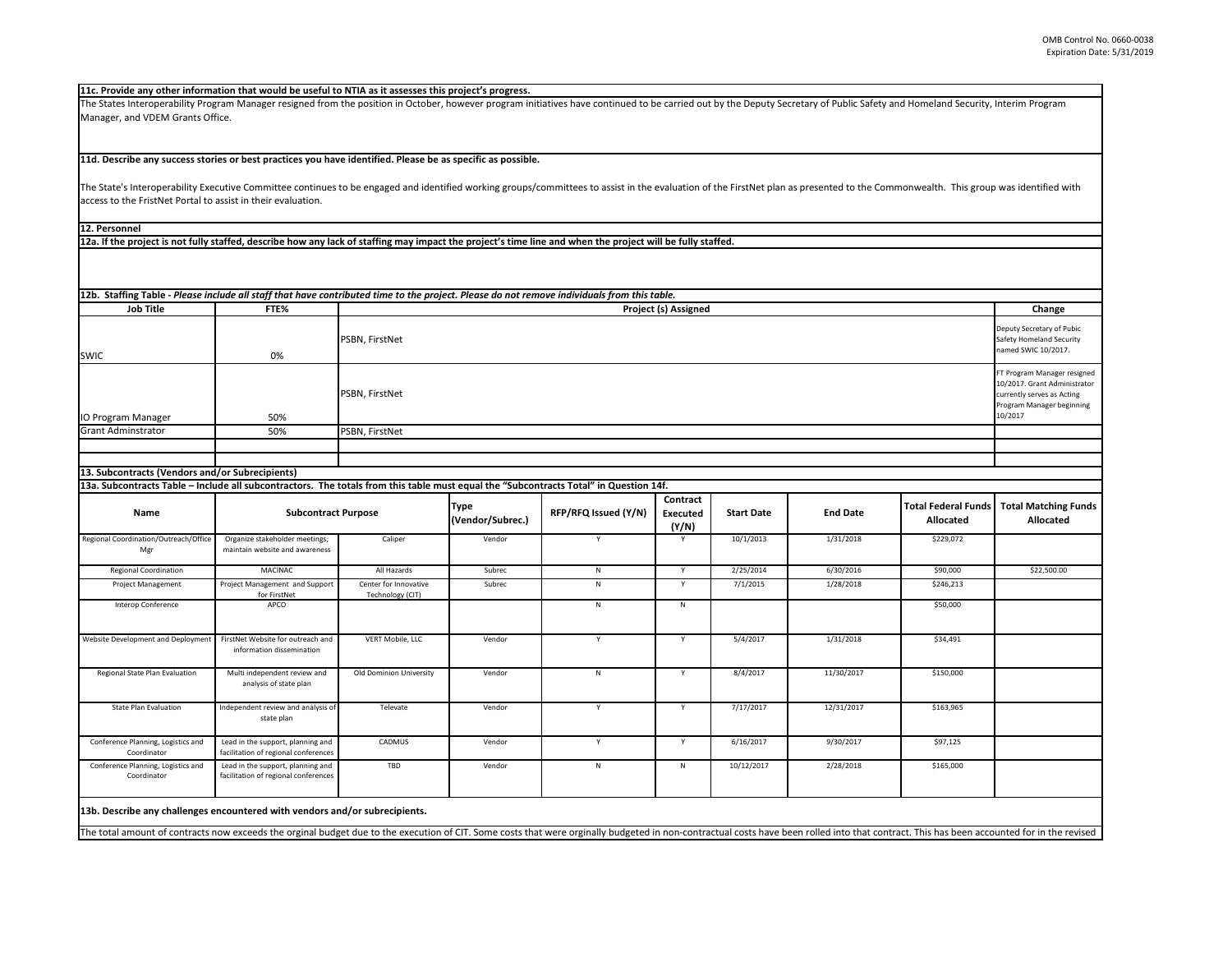The State's Interoperability Executive Committee continues to be engaged and identified working groups/committees to assist in the evaluation of the FirstNet plan as access to the FristNet Portal to assist in their evaluation.

The States Interoperability Program Manager resigned from the position in October, however program initiatives have continued to be carried out by the Deputy Secr Manager, and VDEM Grants Office.

| retary of Public Safety and Homeland Security, Interim Program   |                                                                                                                                   |  |
|------------------------------------------------------------------|-----------------------------------------------------------------------------------------------------------------------------------|--|
| is presented to the Commonwealth. This group was identified with |                                                                                                                                   |  |
|                                                                  |                                                                                                                                   |  |
|                                                                  |                                                                                                                                   |  |
|                                                                  |                                                                                                                                   |  |
|                                                                  |                                                                                                                                   |  |
|                                                                  | Change                                                                                                                            |  |
| Deputy Secretary of Pubic<br>Safety Homeland Security            |                                                                                                                                   |  |
|                                                                  | FT Program Manager resigned<br>10/2017. Grant Administrator<br>currently serves as Acting<br>Program Manager beginning<br>10/2017 |  |
|                                                                  |                                                                                                                                   |  |
|                                                                  |                                                                                                                                   |  |
|                                                                  |                                                                                                                                   |  |
|                                                                  |                                                                                                                                   |  |
| <b>Total Federal Funds</b><br><b>Allocated</b>                   | <b>Total Matching Funds</b><br><b>Allocated</b>                                                                                   |  |
| \$229,072                                                        |                                                                                                                                   |  |
| \$90,000                                                         | \$22,500.00                                                                                                                       |  |
|                                                                  |                                                                                                                                   |  |
| \$246,213                                                        |                                                                                                                                   |  |
|                                                                  |                                                                                                                                   |  |

| <b>Job Title</b>                                                                                                                      | 12b. Staffing Table - Please include all staff that have contributed time to the project. Please do not remove individuals from this table.<br>FTE%<br><b>Project (s) Assigned</b> |                                           |                                 |                      |                                      |                   | Change          |                                                                              |                                                                                                                                   |
|---------------------------------------------------------------------------------------------------------------------------------------|------------------------------------------------------------------------------------------------------------------------------------------------------------------------------------|-------------------------------------------|---------------------------------|----------------------|--------------------------------------|-------------------|-----------------|------------------------------------------------------------------------------|-----------------------------------------------------------------------------------------------------------------------------------|
| <b>SWIC</b>                                                                                                                           | 0%                                                                                                                                                                                 | <b>PSBN, FirstNet</b>                     |                                 |                      |                                      |                   |                 | Deputy Secretary of Pubic<br>Safety Homeland Security<br>named SWIC 10/2017. |                                                                                                                                   |
| IO Program Manager                                                                                                                    | 50%                                                                                                                                                                                | <b>PSBN, FirstNet</b>                     |                                 |                      |                                      |                   |                 |                                                                              | FT Program Manager resigned<br>10/2017. Grant Administrator<br>currently serves as Acting<br>Program Manager beginning<br>10/2017 |
| <b>Grant Adminstrator</b>                                                                                                             |                                                                                                                                                                                    |                                           |                                 |                      |                                      |                   |                 |                                                                              |                                                                                                                                   |
|                                                                                                                                       | 50%                                                                                                                                                                                | PSBN, FirstNet                            |                                 |                      |                                      |                   |                 |                                                                              |                                                                                                                                   |
|                                                                                                                                       |                                                                                                                                                                                    |                                           |                                 |                      |                                      |                   |                 |                                                                              |                                                                                                                                   |
| 13. Subcontracts (Vendors and/or Subrecipients)                                                                                       |                                                                                                                                                                                    |                                           |                                 |                      |                                      |                   |                 |                                                                              |                                                                                                                                   |
| 13a. Subcontracts Table - Include all subcontractors. The totals from this table must equal the "Subcontracts Total" in Question 14f. |                                                                                                                                                                                    |                                           |                                 |                      |                                      |                   |                 |                                                                              |                                                                                                                                   |
| <b>Name</b>                                                                                                                           | <b>Subcontract Purpose</b>                                                                                                                                                         |                                           | <b>Type</b><br>(Vendor/Subrec.) | RFP/RFQ Issued (Y/N) | Contract<br><b>Executed</b><br>(Y/N) | <b>Start Date</b> | <b>End Date</b> | <b>Total Federal Funds</b><br><b>Allocated</b>                               | <b>Total Matching Funds</b><br><b>Allocated</b>                                                                                   |
| Regional Coordination/Outreach/Office<br>Mgr                                                                                          | Organize stakeholder meetings;<br>maintain website and awareness                                                                                                                   | Caliper                                   | Vendor                          | $\mathsf{v}$         | Y                                    | 10/1/2013         | 1/31/2018       | \$229,072                                                                    |                                                                                                                                   |
| <b>Regional Coordination</b>                                                                                                          | MACINAC                                                                                                                                                                            | All Hazards                               | Subrec                          | N                    | Y                                    | 2/25/2014         | 6/30/2016       | \$90,000                                                                     | \$22,500.00                                                                                                                       |
| Project Management                                                                                                                    | Project Management and Support<br>for FirstNet                                                                                                                                     | Center for Innovative<br>Technology (CIT) | Subrec                          | $\mathsf{N}$         | Y                                    | 7/1/2015          | 1/28/2018       | \$246,213                                                                    |                                                                                                                                   |
| Interop Conference                                                                                                                    | APCO                                                                                                                                                                               |                                           |                                 | N                    | N                                    |                   |                 | \$50,000                                                                     |                                                                                                                                   |
| Website Development and Deployment                                                                                                    | FirstNet Website for outreach and<br>information dissemination                                                                                                                     | VERT Mobile, LLC                          | Vendor                          | <b>V</b>             | Y                                    | 5/4/2017          | 1/31/2018       | \$34,491                                                                     |                                                                                                                                   |
| Regional State Plan Evaluation                                                                                                        | Multi independent review and<br>analysis of state plan                                                                                                                             | Old Dominion University                   | Vendor                          | N                    | Y                                    | 8/4/2017          | 11/30/2017      | \$150,000                                                                    |                                                                                                                                   |
| <b>State Plan Evaluation</b>                                                                                                          | Independent review and analysis of<br>state plan                                                                                                                                   | Televate                                  | Vendor                          | Y                    | Y                                    | 7/17/2017         | 12/31/2017      | \$163,965                                                                    |                                                                                                                                   |
| Conference Planning, Logistics and<br>Coordinator                                                                                     | Lead in the support, planning and<br>facilitation of regional conferences                                                                                                          | <b>CADMUS</b>                             | Vendor                          | Y                    | Y                                    | 6/16/2017         | 9/30/2017       | \$97,125                                                                     |                                                                                                                                   |
| Conference Planning, Logistics and<br>Coordinator                                                                                     | Lead in the support, planning and<br>facilitation of regional conferences                                                                                                          | TBD                                       | Vendor                          | ${\sf N}$            | N                                    | 10/12/2017        | 2/28/2018       | \$165,000                                                                    |                                                                                                                                   |
| 13b. Describe any challenges encountered with vendors and/or subrecipients.                                                           |                                                                                                                                                                                    |                                           |                                 |                      |                                      |                   |                 |                                                                              |                                                                                                                                   |

The total amount of contracts now exceeds the orginal budget due to the execution of CIT. Some costs that were orginally budgeted in non-contractual costs have been rolled into that contract. This has been accounted for in

## **11d. Describe any success stories or best practices you have identified. Please be as specific as possible.**

**11c. Provide any other information that would be useful to NTIA as it assesses this project's progress.** 

**12a. If the project is not fully staffed, describe how any lack of staffing may impact the project's time line and when the project will be fully staffed.**

**12. Personnel**